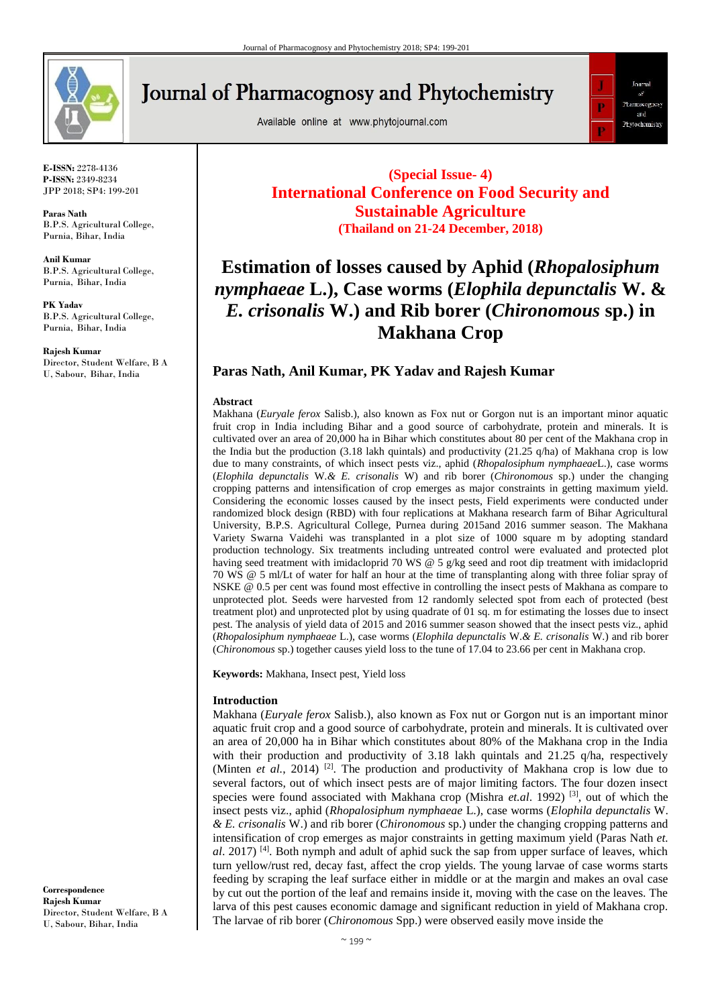

**Journal of Pharmacognosy and Phytochemistry** 

Available online at www.phytojournal.com



**E-ISSN:** 2278-4136 **P-ISSN:** 2349-8234 JPP 2018; SP4: 199-201

**Paras Nath** B.P.S. Agricultural College, Purnia, Bihar, India

**Anil Kumar** B.P.S. Agricultural College, Purnia, Bihar, India

**PK Yadav** B.P.S. Agricultural College, Purnia, Bihar, India

**Rajesh Kumar** Director, Student Welfare, B A U, Sabour, Bihar, India

**(Special Issue- 4) International Conference on Food Security and Sustainable Agriculture (Thailand on 21-24 December, 2018)**

# **Estimation of losses caused by Aphid (***Rhopalosiphum nymphaeae* **L.), Case worms (***Elophila depunctalis* **W. &**  *E. crisonalis* **W.) and Rib borer (***Chironomous* **sp.) in Makhana Crop**

## **Paras Nath, Anil Kumar, PK Yadav and Rajesh Kumar**

#### **Abstract**

Makhana (*Euryale ferox* Salisb.), also known as Fox nut or Gorgon nut is an important minor aquatic fruit crop in India including Bihar and a good source of carbohydrate, protein and minerals. It is cultivated over an area of 20,000 ha in Bihar which constitutes about 80 per cent of the Makhana crop in the India but the production (3.18 lakh quintals) and productivity (21.25 q/ha) of Makhana crop is low due to many constraints, of which insect pests viz., aphid (*Rhopalosiphum nymphaeae*L.), case worms (*Elophila depunctalis* W.*& E. crisonalis* W) and rib borer (*Chironomous* sp.) under the changing cropping patterns and intensification of crop emerges as major constraints in getting maximum yield. Considering the economic losses caused by the insect pests, Field experiments were conducted under randomized block design (RBD) with four replications at Makhana research farm of Bihar Agricultural University, B.P.S. Agricultural College, Purnea during 2015and 2016 summer season. The Makhana Variety Swarna Vaidehi was transplanted in a plot size of 1000 square m by adopting standard production technology. Six treatments including untreated control were evaluated and protected plot having seed treatment with imidacloprid 70 WS @ 5 g/kg seed and root dip treatment with imidacloprid 70 WS @ 5 ml/Lt of water for half an hour at the time of transplanting along with three foliar spray of NSKE @ 0.5 per cent was found most effective in controlling the insect pests of Makhana as compare to unprotected plot. Seeds were harvested from 12 randomly selected spot from each of protected (best treatment plot) and unprotected plot by using quadrate of 01 sq. m for estimating the losses due to insect pest. The analysis of yield data of 2015 and 2016 summer season showed that the insect pests viz., aphid (*Rhopalosiphum nymphaeae* L.), case worms (*Elophila depunctalis* W.*& E. crisonalis* W.) and rib borer (*Chironomous* sp.) together causes yield loss to the tune of 17.04 to 23.66 per cent in Makhana crop.

**Keywords:** Makhana, Insect pest, Yield loss

## **Introduction**

Makhana (*Euryale ferox* Salisb.), also known as Fox nut or Gorgon nut is an important minor aquatic fruit crop and a good source of carbohydrate, protein and minerals. It is cultivated over an area of 20,000 ha in Bihar which constitutes about 80% of the Makhana crop in the India with their production and productivity of 3.18 lakh quintals and 21.25  $q/ha$ , respectively (Minten *et al.*, 2014) <sup>[2]</sup>. The production and productivity of Makhana crop is low due to several factors, out of which insect pests are of major limiting factors. The four dozen insect species were found associated with Makhana crop (Mishra *et.al.* 1992)<sup>[3]</sup>, out of which the insect pests viz., aphid (*Rhopalosiphum nymphaeae* L.), case worms (*Elophila depunctalis* W. *& E. crisonalis* W.) and rib borer (*Chironomous* sp.) under the changing cropping patterns and intensification of crop emerges as major constraints in getting maximum yield (Paras Nath *et. al*. 2017) <sup>[4]</sup>. Both nymph and adult of aphid suck the sap from upper surface of leaves, which turn yellow/rust red, decay fast, affect the crop yields. The young larvae of case worms starts feeding by scraping the leaf surface either in middle or at the margin and makes an oval case by cut out the portion of the leaf and remains inside it, moving with the case on the leaves. The larva of this pest causes economic damage and significant reduction in yield of Makhana crop. The larvae of rib borer (*Chironomous* Spp.) were observed easily move inside the

**Correspondence Rajesh Kumar** Director, Student Welfare, B A U, Sabour, Bihar, India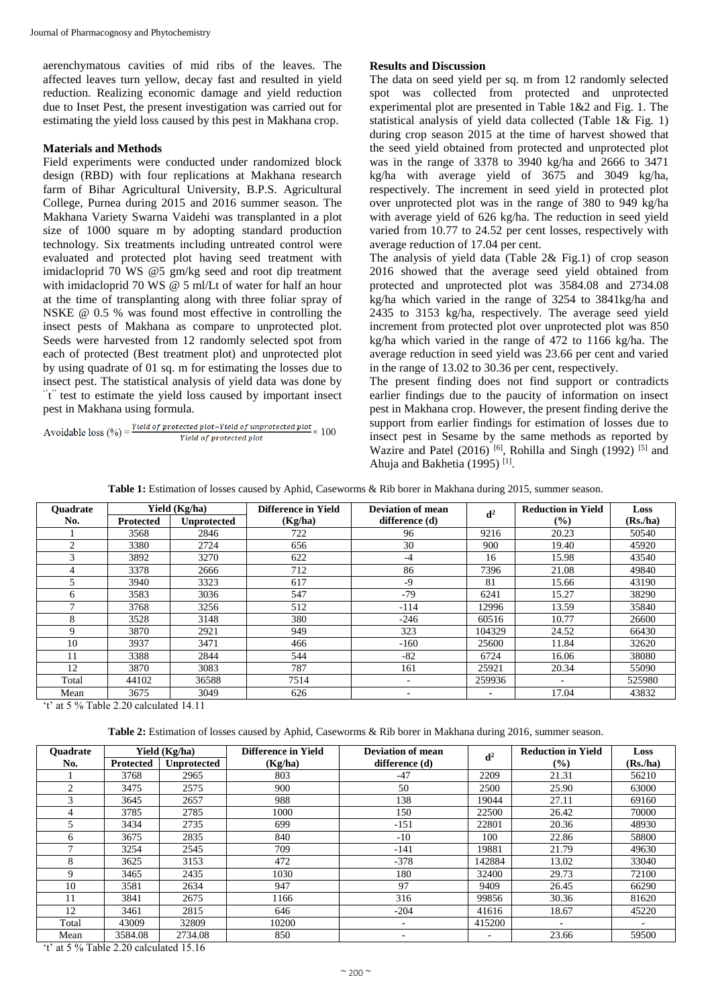aerenchymatous cavities of mid ribs of the leaves. The affected leaves turn yellow, decay fast and resulted in yield reduction. Realizing economic damage and yield reduction due to Inset Pest, the present investigation was carried out for estimating the yield loss caused by this pest in Makhana crop.

#### **Materials and Methods**

Field experiments were conducted under randomized block design (RBD) with four replications at Makhana research farm of Bihar Agricultural University, B.P.S. Agricultural College, Purnea during 2015 and 2016 summer season. The Makhana Variety Swarna Vaidehi was transplanted in a plot size of 1000 square m by adopting standard production technology. Six treatments including untreated control were evaluated and protected plot having seed treatment with imidacloprid 70 WS @5 gm/kg seed and root dip treatment with imidacloprid 70 WS @ 5 ml/Lt of water for half an hour at the time of transplanting along with three foliar spray of NSKE @ 0.5 % was found most effective in controlling the insect pests of Makhana as compare to unprotected plot. Seeds were harvested from 12 randomly selected spot from each of protected (Best treatment plot) and unprotected plot by using quadrate of 01 sq. m for estimating the losses due to insect pest. The statistical analysis of yield data was done by "t" test to estimate the yield loss caused by important insect pest in Makhana using formula.

Avoidable loss  $(\%) = \frac{Yield\ of\ protected\ plot - Yield\ of\ unprotected\ plot}{Yield\ of\ corrected\ plot} \times 100$ Yield of protected plot

#### **Results and Discussion**

The data on seed yield per sq. m from 12 randomly selected spot was collected from protected and unprotected experimental plot are presented in Table 1&2 and Fig. 1. The statistical analysis of yield data collected (Table 1& Fig. 1) during crop season 2015 at the time of harvest showed that the seed yield obtained from protected and unprotected plot was in the range of 3378 to 3940 kg/ha and 2666 to 3471 kg/ha with average yield of 3675 and 3049 kg/ha, respectively. The increment in seed yield in protected plot over unprotected plot was in the range of 380 to 949 kg/ha with average yield of 626 kg/ha. The reduction in seed yield varied from 10.77 to 24.52 per cent losses, respectively with average reduction of 17.04 per cent.

The analysis of yield data (Table 2& Fig.1) of crop season 2016 showed that the average seed yield obtained from protected and unprotected plot was 3584.08 and 2734.08 kg/ha which varied in the range of 3254 to 3841kg/ha and 2435 to 3153 kg/ha, respectively. The average seed yield increment from protected plot over unprotected plot was 850 kg/ha which varied in the range of 472 to 1166 kg/ha. The average reduction in seed yield was 23.66 per cent and varied in the range of 13.02 to 30.36 per cent, respectively.

The present finding does not find support or contradicts earlier findings due to the paucity of information on insect pest in Makhana crop. However, the present finding derive the support from earlier findings for estimation of losses due to insect pest in Sesame by the same methods as reported by Wazire and Patel  $(2016)$ <sup>[6]</sup>, Rohilla and Singh (1992)<sup>[5]</sup> and Ahuja and Bakhetia (1995)<sup>[1]</sup>.

| Table 1: Estimation of losses caused by Aphid, Caseworms & Rib borer in Makhana during 2015, summer season. |
|-------------------------------------------------------------------------------------------------------------|
|-------------------------------------------------------------------------------------------------------------|

| <b>Ouadrate</b> | Yield (Kg/ha)    |                    | Difference in Yield | <b>Deviation of mean</b> | d <sup>2</sup> | <b>Reduction in Yield</b> | Loss    |
|-----------------|------------------|--------------------|---------------------|--------------------------|----------------|---------------------------|---------|
| No.             | <b>Protected</b> | <b>Unprotected</b> | (Kg/ha)             | difference (d)           |                | $\frac{6}{2}$             | (Rs/ha) |
|                 | 3568             | 2846               | 722                 | 96                       | 9216           | 20.23                     | 50540   |
| $\overline{c}$  | 3380             | 2724               | 656                 | 30                       | 900            | 19.40                     | 45920   |
| 3               | 3892             | 3270               | 622                 | $-4$                     | 16             | 15.98                     | 43540   |
|                 | 3378             | 2666               | 712                 | 86                       | 7396           | 21.08                     | 49840   |
|                 | 3940             | 3323               | 617                 | $-9$                     | 81             | 15.66                     | 43190   |
| 6               | 3583             | 3036               | 547                 | $-79$                    | 6241           | 15.27                     | 38290   |
|                 | 3768             | 3256               | 512                 | $-114$                   | 12996          | 13.59                     | 35840   |
| 8               | 3528             | 3148               | 380                 | $-246$                   | 60516          | 10.77                     | 26600   |
| 9               | 3870             | 2921               | 949                 | 323                      | 104329         | 24.52                     | 66430   |
| 10              | 3937             | 3471               | 466                 | $-160$                   | 25600          | 11.84                     | 32620   |
| 11              | 3388             | 2844               | 544                 | $-82$                    | 6724           | 16.06                     | 38080   |
| 12              | 3870             | 3083               | 787                 | 161                      | 25921          | 20.34                     | 55090   |
| Total           | 44102            | 36588              | 7514                | $\overline{\phantom{a}}$ | 259936         | ٠                         | 525980  |
| Mean            | 3675             | 3049               | 626                 | $\overline{\phantom{a}}$ | -              | 17.04                     | 43832   |

't' at 5 % Table 2.20 calculated 14.11

**Table 2:** Estimation of losses caused by Aphid, Caseworms & Rib borer in Makhana during 2016, summer season.

| <b>Ouadrate</b> | Yield (Kg/ha) |                    | Difference in Yield | Deviation of mean        | d <sup>2</sup> | <b>Reduction in Yield</b> | Loss    |
|-----------------|---------------|--------------------|---------------------|--------------------------|----------------|---------------------------|---------|
| No.             | Protected     | <b>Unprotected</b> | (Kg/ha)             | difference (d)           |                | $\frac{9}{6}$             | (Rs/ha) |
|                 | 3768          | 2965               | 803                 | $-47$                    | 2209           | 21.31                     | 56210   |
| $\mathfrak{D}$  | 3475          | 2575               | 900                 | 50                       | 2500           | 25.90                     | 63000   |
| 3               | 3645          | 2657               | 988                 | 138                      | 19044          | 27.11                     | 69160   |
| 4               | 3785          | 2785               | 1000                | 150                      | 22500          | 26.42                     | 70000   |
|                 | 3434          | 2735               | 699                 | $-151$                   | 22801          | 20.36                     | 48930   |
| 6               | 3675          | 2835               | 840                 | $-10$                    | 100            | 22.86                     | 58800   |
|                 | 3254          | 2545               | 709                 | $-141$                   | 19881          | 21.79                     | 49630   |
| 8               | 3625          | 3153               | 472                 | $-378$                   | 142884         | 13.02                     | 33040   |
| 9               | 3465          | 2435               | 1030                | 180                      | 32400          | 29.73                     | 72100   |
| 10              | 3581          | 2634               | 947                 | 97                       | 9409           | 26.45                     | 66290   |
|                 | 3841          | 2675               | 1166                | 316                      | 99856          | 30.36                     | 81620   |
| 12              | 3461          | 2815               | 646                 | $-204$                   | 41616          | 18.67                     | 45220   |
| Total           | 43009         | 32809              | 10200               | $\overline{\phantom{a}}$ | 415200         | $\overline{\phantom{0}}$  |         |
| Mean            | 3584.08       | 2734.08            | 850                 |                          |                | 23.66                     | 59500   |

't' at 5 % Table 2.20 calculated 15.16